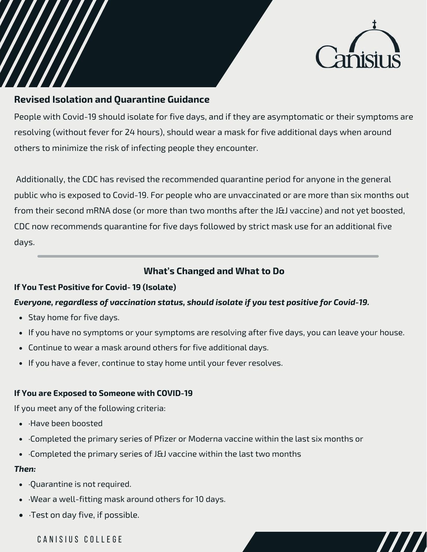

# **Revised Isolation and Quarantine Guidance**

People with Covid-19 should isolate for five days, and if they are asymptomatic or their symptoms are resolving (without fever for 24 hours), should wear a mask for five additional days when around others to minimize the risk of infecting people they encounter.

Additionally, the CDC has revised the recommended quarantine period for anyone in the general public who is exposed to Covid-19. For people who are unvaccinated or are more than six months out from their second mRNA dose (or more than two months after the J&J vaccine) and not yet boosted, CDC now recommends quarantine for five days followed by strict mask use for an additional five days.

## **What's Changed and What to Do**

### **If You Test Positive for Covid- 19 (Isolate)**

### *Everyone, regardless of vaccination status, should isolate if you test positive for Covid-19.*

- Stay home for five days.
- If you have no symptoms or your symptoms are resolving after five days, you can leave your house.
- Continue to wear a mask around others for five additional days.
- If you have a fever, continue to stay home until your fever resolves.

### **If You are Exposed to Someone with COVID-19**

If you meet any of the following criteria:

- ·Have been boosted
- ·Completed the primary series of Pfizer or Moderna vaccine within the last six months or
- Completed the primary series of J&J vaccine within the last two months

#### *Then:*

- ·Quarantine is not required.
- ·Wear a well-fitting mask around others for 10 days.
- ·Test on day five, if possible.

CANISIUS COLLEGE